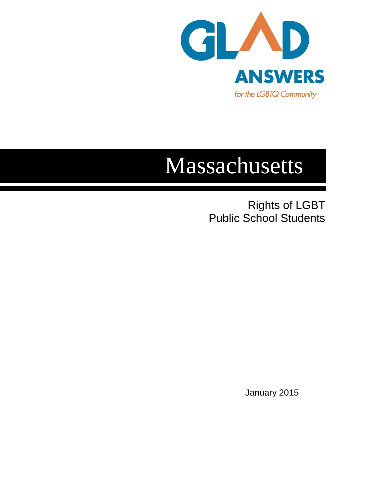

## Massachusetts

Rights of LGBT Public School Students

January 2015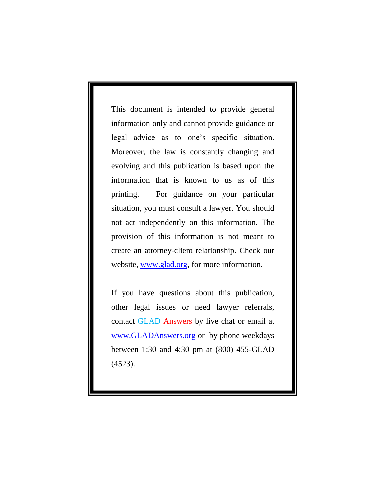This document is intended to provide general information only and cannot provide guidance or legal advice as to one's specific situation. Moreover, the law is constantly changing and evolving and this publication is based upon the information that is known to us as of this printing. For guidance on your particular situation, you must consult a lawyer. You should not act independently on this information. The provision of this information is not meant to create an attorney-client relationship. Check our website, [www.glad.org,](http://www.glad.org/) for more information.

If you have questions about this publication, other legal issues or need lawyer referrals, contact GLAD Answers by live chat or email at [www.GLADAnswers.org](http://www.gladanswers.org/) or by phone weekdays between 1:30 and 4:30 pm at (800) 455-GLAD (4523).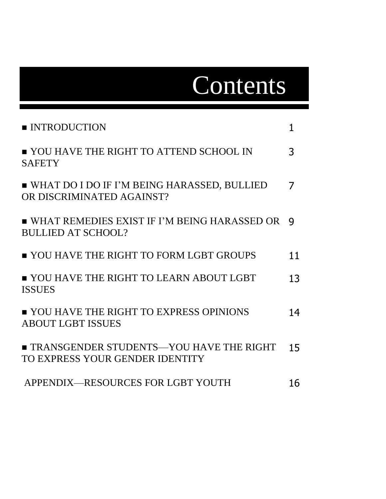# Contents

| <b>INTRODUCTION</b>                                                               | 1  |
|-----------------------------------------------------------------------------------|----|
| ■ YOU HAVE THE RIGHT TO ATTEND SCHOOL IN<br><b>SAFETY</b>                         | 3  |
| ■ WHAT DO I DO IF I'M BEING HARASSED, BULLIED<br>OR DISCRIMINATED AGAINST?        | 7  |
| ■ WHAT REMEDIES EXIST IF I'M BEING HARASSED OR<br><b>BULLIED AT SCHOOL?</b>       | 9  |
| ■ YOU HAVE THE RIGHT TO FORM LGBT GROUPS                                          | 11 |
| <b>YOU HAVE THE RIGHT TO LEARN ABOUT LGBT</b><br><b>ISSUES</b>                    | 13 |
| ■ YOU HAVE THE RIGHT TO EXPRESS OPINIONS<br><b>ABOUT LGBT ISSUES</b>              | 14 |
| <b>TRANSGENDER STUDENTS—YOU HAVE THE RIGHT</b><br>TO EXPRESS YOUR GENDER IDENTITY | 15 |
| APPENDIX-RESOURCES FOR LGBT YOUTH                                                 | 16 |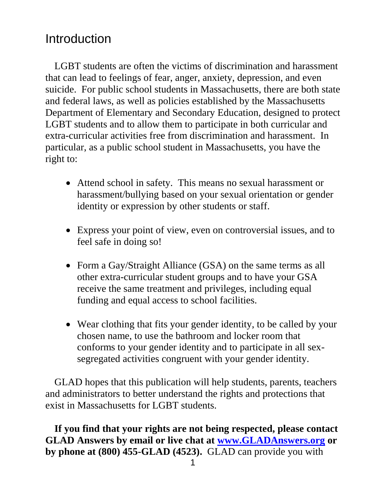## Introduction

LGBT students are often the victims of discrimination and harassment that can lead to feelings of fear, anger, anxiety, depression, and even suicide. For public school students in Massachusetts, there are both state and federal laws, as well as policies established by the Massachusetts Department of Elementary and Secondary Education, designed to protect LGBT students and to allow them to participate in both curricular and extra-curricular activities free from discrimination and harassment. In particular, as a public school student in Massachusetts, you have the right to:

- Attend school in safety. This means no sexual harassment or harassment/bullying based on your sexual orientation or gender identity or expression by other students or staff.
- Express your point of view, even on controversial issues, and to feel safe in doing so!
- Form a Gay/Straight Alliance (GSA) on the same terms as all other extra-curricular student groups and to have your GSA receive the same treatment and privileges, including equal funding and equal access to school facilities.
- Wear clothing that fits your gender identity, to be called by your chosen name, to use the bathroom and locker room that conforms to your gender identity and to participate in all sexsegregated activities congruent with your gender identity.

GLAD hopes that this publication will help students, parents, teachers and administrators to better understand the rights and protections that exist in Massachusetts for LGBT students.

**If you find that your rights are not being respected, please contact GLAD Answers by email or live chat at [www.GLADAnswers.org](http://www.gladanswers.org/) or by phone at (800) 455-GLAD (4523).** GLAD can provide you with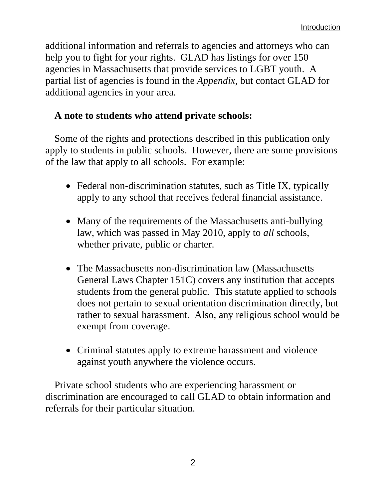additional information and referrals to agencies and attorneys who can help you to fight for your rights. GLAD has listings for over 150 agencies in Massachusetts that provide services to LGBT youth. A partial list of agencies is found in the *Appendix,* but contact GLAD for additional agencies in your area.

## **A note to students who attend private schools:**

Some of the rights and protections described in this publication only apply to students in public schools. However, there are some provisions of the law that apply to all schools. For example:

- Federal non-discrimination statutes, such as Title IX, typically apply to any school that receives federal financial assistance.
- Many of the requirements of the Massachusetts anti-bullying law, which was passed in May 2010, apply to *all* schools, whether private, public or charter.
- The Massachusetts non-discrimination law (Massachusetts General Laws Chapter 151C) covers any institution that accepts students from the general public. This statute applied to schools does not pertain to sexual orientation discrimination directly, but rather to sexual harassment. Also, any religious school would be exempt from coverage.
- Criminal statutes apply to extreme harassment and violence against youth anywhere the violence occurs.

Private school students who are experiencing harassment or discrimination are encouraged to call GLAD to obtain information and referrals for their particular situation.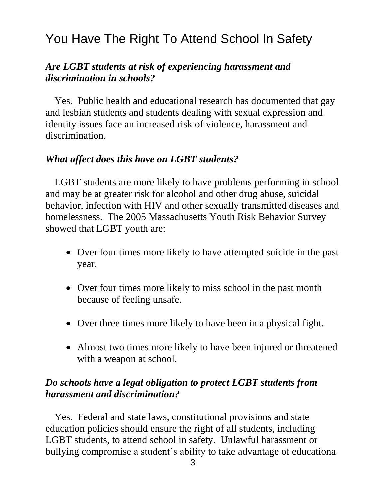## You Have The Right To Attend School In Safety

#### *Are LGBT students at risk of experiencing harassment and discrimination in schools?*

Yes. Public health and educational research has documented that gay and lesbian students and students dealing with sexual expression and identity issues face an increased risk of violence, harassment and discrimination.

#### *What affect does this have on LGBT students?*

LGBT students are more likely to have problems performing in school and may be at greater risk for alcohol and other drug abuse, suicidal behavior, infection with HIV and other sexually transmitted diseases and homelessness. The 2005 Massachusetts Youth Risk Behavior Survey showed that LGBT youth are:

- Over four times more likely to have attempted suicide in the past year.
- Over four times more likely to miss school in the past month because of feeling unsafe.
- Over three times more likely to have been in a physical fight.
- Almost two times more likely to have been injured or threatened with a weapon at school.

## *Do schools have a legal obligation to protect LGBT students from harassment and discrimination?*

Yes. Federal and state laws, constitutional provisions and state education policies should ensure the right of all students, including LGBT students, to attend school in safety. Unlawful harassment or bullying compromise a student's ability to take advantage of educationa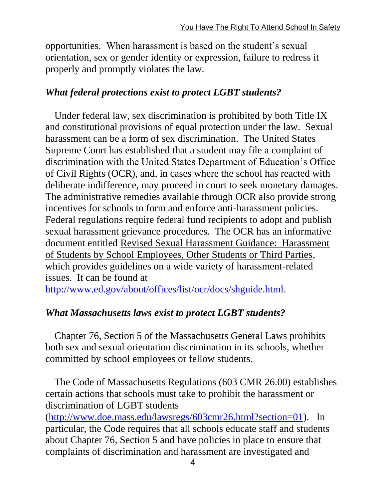opportunities. When harassment is based on the student's sexual orientation, sex or gender identity or expression, failure to redress it properly and promptly violates the law.

## *What federal protections exist to protect LGBT students?*

Under federal law, sex discrimination is prohibited by both Title IX and constitutional provisions of equal protection under the law. Sexual harassment can be a form of sex discrimination. The United States Supreme Court has established that a student may file a complaint of discrimination with the United States Department of Education's Office of Civil Rights (OCR), and, in cases where the school has reacted with deliberate indifference, may proceed in court to seek monetary damages. The administrative remedies available through OCR also provide strong incentives for schools to form and enforce anti-harassment policies. Federal regulations require federal fund recipients to adopt and publish sexual harassment grievance procedures. The OCR has an informative document entitled Revised Sexual Harassment Guidance: Harassment of Students by School Employees, Other Students or Third Parties, which provides guidelines on a wide variety of harassment-related issues. It can be found at

[http://www.ed.gov/about/offices/list/ocr/docs/shguide.html.](http://www.ed.gov/about/offices/list/ocr/docs/shguide.html)

## *What Massachusetts laws exist to protect LGBT students?*

Chapter 76, Section 5 of the Massachusetts General Laws prohibits both sex and sexual orientation discrimination in its schools, whether committed by school employees or fellow students.

The Code of Massachusetts Regulations (603 CMR 26.00) establishes certain actions that schools must take to prohibit the harassment or discrimination of LGBT students [\(http://www.doe.mass.edu/lawsregs/603cmr26.html?section=01\)](http://www.doe.mass.edu/lawsregs/603cmr26.html?section=01). In particular, the Code requires that all schools educate staff and students about Chapter 76, Section 5 and have policies in place to ensure that complaints of discrimination and harassment are investigated and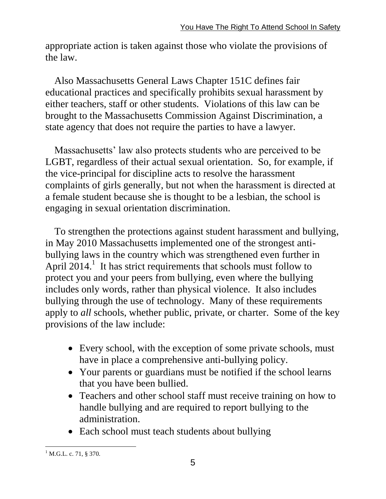appropriate action is taken against those who violate the provisions of the law.

Also Massachusetts General Laws Chapter 151C defines fair educational practices and specifically prohibits sexual harassment by either teachers, staff or other students. Violations of this law can be brought to the Massachusetts Commission Against Discrimination, a state agency that does not require the parties to have a lawyer.

Massachusetts' law also protects students who are perceived to be LGBT, regardless of their actual sexual orientation. So, for example, if the vice-principal for discipline acts to resolve the harassment complaints of girls generally, but not when the harassment is directed at a female student because she is thought to be a lesbian, the school is engaging in sexual orientation discrimination.

To strengthen the protections against student harassment and bullying, in May 2010 Massachusetts implemented one of the strongest antibullying laws in the country which was strengthened even further in April  $2014$ .<sup>1</sup> It has strict requirements that schools must follow to protect you and your peers from bullying, even where the bullying includes only words, rather than physical violence. It also includes bullying through the use of technology. Many of these requirements apply to *all* schools, whether public, private, or charter. Some of the key provisions of the law include:

- Every school, with the exception of some private schools, must have in place a comprehensive anti-bullying policy.
- Your parents or guardians must be notified if the school learns that you have been bullied.
- Teachers and other school staff must receive training on how to handle bullying and are required to report bullying to the administration.
- Each school must teach students about bullying

 $\overline{a}$  $^{1}$  M.G.L. c. 71, § 370.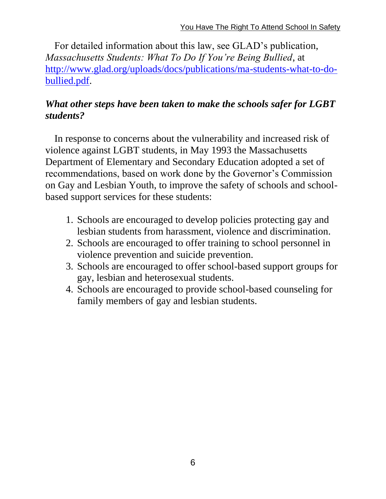For detailed information about this law, see GLAD's publication, *Massachusetts Students: What To Do If You're Being Bullied*, at [http://www.glad.org/uploads/docs/publications/ma-students-what-to-do](http://www.glad.org/uploads/docs/publications/ma-students-what-to-do-bullied.pdf)[bullied.pdf.](http://www.glad.org/uploads/docs/publications/ma-students-what-to-do-bullied.pdf)

## *What other steps have been taken to make the schools safer for LGBT students?*

In response to concerns about the vulnerability and increased risk of violence against LGBT students, in May 1993 the Massachusetts Department of Elementary and Secondary Education adopted a set of recommendations, based on work done by the Governor's Commission on Gay and Lesbian Youth, to improve the safety of schools and schoolbased support services for these students:

- 1. Schools are encouraged to develop policies protecting gay and lesbian students from harassment, violence and discrimination.
- 2. Schools are encouraged to offer training to school personnel in violence prevention and suicide prevention.
- 3. Schools are encouraged to offer school-based support groups for gay, lesbian and heterosexual students.
- 4. Schools are encouraged to provide school-based counseling for family members of gay and lesbian students.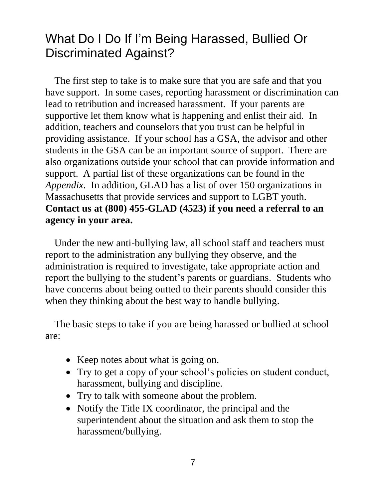## What Do I Do If I'm Being Harassed, Bullied Or Discriminated Against?

The first step to take is to make sure that you are safe and that you have support. In some cases, reporting harassment or discrimination can lead to retribution and increased harassment. If your parents are supportive let them know what is happening and enlist their aid. In addition, teachers and counselors that you trust can be helpful in providing assistance. If your school has a GSA, the advisor and other students in the GSA can be an important source of support. There are also organizations outside your school that can provide information and support. A partial list of these organizations can be found in the *Appendix.* In addition, GLAD has a list of over 150 organizations in Massachusetts that provide services and support to LGBT youth. **Contact us at (800) 455-GLAD (4523) if you need a referral to an agency in your area.**

Under the new anti-bullying law, all school staff and teachers must report to the administration any bullying they observe, and the administration is required to investigate, take appropriate action and report the bullying to the student's parents or guardians. Students who have concerns about being outted to their parents should consider this when they thinking about the best way to handle bullying.

The basic steps to take if you are being harassed or bullied at school are:

- Keep notes about what is going on.
- Try to get a copy of your school's policies on student conduct, harassment, bullying and discipline.
- Try to talk with someone about the problem.
- Notify the Title IX coordinator, the principal and the superintendent about the situation and ask them to stop the harassment/bullying.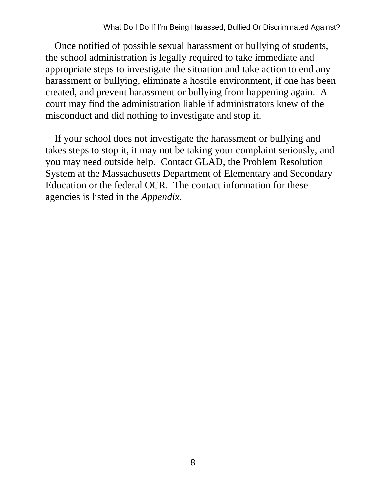#### What Do I Do If I'm Being Harassed, Bullied Or Discriminated Against?

Once notified of possible sexual harassment or bullying of students, the school administration is legally required to take immediate and appropriate steps to investigate the situation and take action to end any harassment or bullying, eliminate a hostile environment, if one has been created, and prevent harassment or bullying from happening again. A court may find the administration liable if administrators knew of the misconduct and did nothing to investigate and stop it.

If your school does not investigate the harassment or bullying and takes steps to stop it, it may not be taking your complaint seriously, and you may need outside help. Contact GLAD, the Problem Resolution System at the Massachusetts Department of Elementary and Secondary Education or the federal OCR. The contact information for these agencies is listed in the *Appendix*.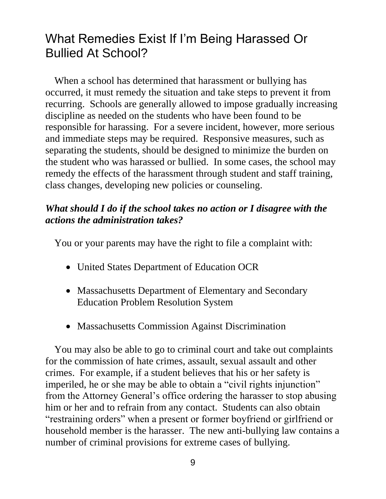## What Remedies Exist If I'm Being Harassed Or Bullied At School?

When a school has determined that harassment or bullying has occurred, it must remedy the situation and take steps to prevent it from recurring. Schools are generally allowed to impose gradually increasing discipline as needed on the students who have been found to be responsible for harassing. For a severe incident, however, more serious and immediate steps may be required. Responsive measures, such as separating the students, should be designed to minimize the burden on the student who was harassed or bullied. In some cases, the school may remedy the effects of the harassment through student and staff training, class changes, developing new policies or counseling.

## *What should I do if the school takes no action or I disagree with the actions the administration takes?*

You or your parents may have the right to file a complaint with:

- United States Department of Education OCR
- Massachusetts Department of Elementary and Secondary Education Problem Resolution System
- Massachusetts Commission Against Discrimination

You may also be able to go to criminal court and take out complaints for the commission of hate crimes, assault, sexual assault and other crimes. For example, if a student believes that his or her safety is imperiled, he or she may be able to obtain a "civil rights injunction" from the Attorney General's office ordering the harasser to stop abusing him or her and to refrain from any contact. Students can also obtain "restraining orders" when a present or former boyfriend or girlfriend or household member is the harasser. The new anti-bullying law contains a number of criminal provisions for extreme cases of bullying.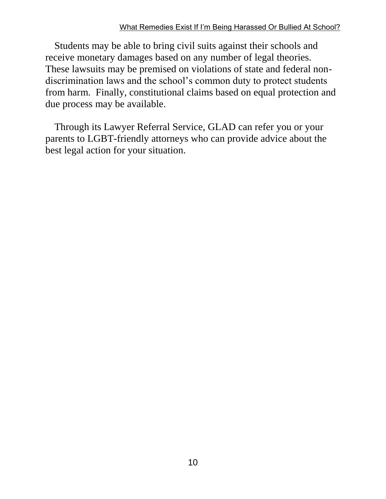#### What Remedies Exist If I'm Being Harassed Or Bullied At School?

Students may be able to bring civil suits against their schools and receive monetary damages based on any number of legal theories. These lawsuits may be premised on violations of state and federal nondiscrimination laws and the school's common duty to protect students from harm. Finally, constitutional claims based on equal protection and due process may be available.

Through its Lawyer Referral Service, GLAD can refer you or your parents to LGBT-friendly attorneys who can provide advice about the best legal action for your situation.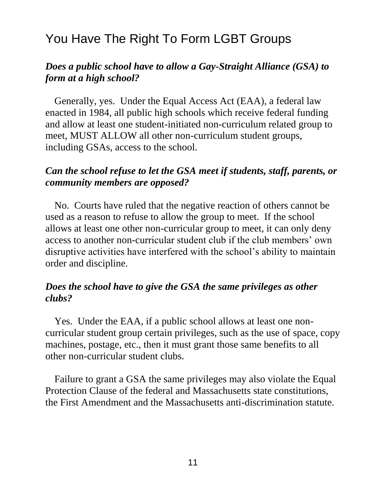## You Have The Right To Form LGBT Groups

#### *Does a public school have to allow a Gay-Straight Alliance (GSA) to form at a high school?*

Generally, yes. Under the Equal Access Act (EAA), a federal law enacted in 1984, all public high schools which receive federal funding and allow at least one student-initiated non-curriculum related group to meet, MUST ALLOW all other non-curriculum student groups, including GSAs, access to the school.

## *Can the school refuse to let the GSA meet if students, staff, parents, or community members are opposed?*

No. Courts have ruled that the negative reaction of others cannot be used as a reason to refuse to allow the group to meet. If the school allows at least one other non-curricular group to meet, it can only deny access to another non-curricular student club if the club members' own disruptive activities have interfered with the school's ability to maintain order and discipline.

#### *Does the school have to give the GSA the same privileges as other clubs?*

Yes. Under the EAA, if a public school allows at least one noncurricular student group certain privileges, such as the use of space, copy machines, postage, etc., then it must grant those same benefits to all other non-curricular student clubs.

Failure to grant a GSA the same privileges may also violate the Equal Protection Clause of the federal and Massachusetts state constitutions, the First Amendment and the Massachusetts anti-discrimination statute.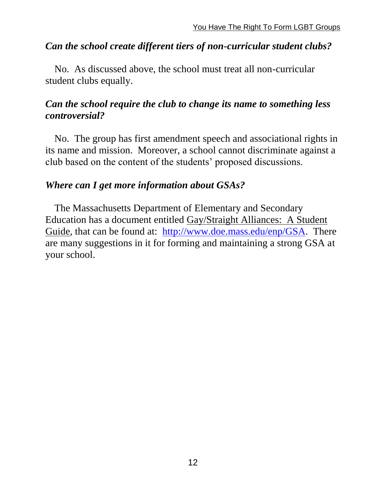#### *Can the school create different tiers of non-curricular student clubs?*

No. As discussed above, the school must treat all non-curricular student clubs equally.

## *Can the school require the club to change its name to something less controversial?*

No. The group has first amendment speech and associational rights in its name and mission. Moreover, a school cannot discriminate against a club based on the content of the students' proposed discussions.

#### *Where can I get more information about GSAs?*

The Massachusetts Department of Elementary and Secondary Education has a document entitled Gay/Straight Alliances: A Student Guide, that can be found at: [http://www.doe.mass.edu/enp/GSA.](http://www.doe.mass.edu/enp/GSA) There are many suggestions in it for forming and maintaining a strong GSA at your school.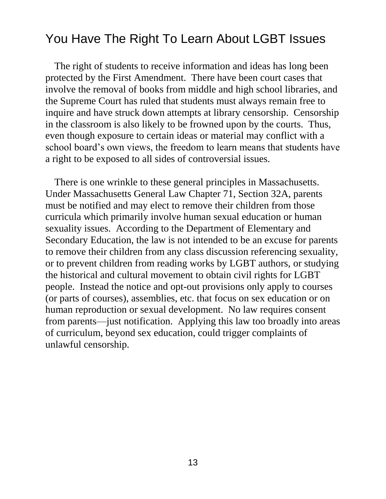## You Have The Right To Learn About LGBT Issues

The right of students to receive information and ideas has long been protected by the First Amendment. There have been court cases that involve the removal of books from middle and high school libraries, and the Supreme Court has ruled that students must always remain free to inquire and have struck down attempts at library censorship. Censorship in the classroom is also likely to be frowned upon by the courts. Thus, even though exposure to certain ideas or material may conflict with a school board's own views, the freedom to learn means that students have a right to be exposed to all sides of controversial issues.

There is one wrinkle to these general principles in Massachusetts. Under Massachusetts General Law Chapter 71, Section 32A, parents must be notified and may elect to remove their children from those curricula which primarily involve human sexual education or human sexuality issues. According to the Department of Elementary and Secondary Education, the law is not intended to be an excuse for parents to remove their children from any class discussion referencing sexuality, or to prevent children from reading works by LGBT authors, or studying the historical and cultural movement to obtain civil rights for LGBT people. Instead the notice and opt-out provisions only apply to courses (or parts of courses), assemblies, etc. that focus on sex education or on human reproduction or sexual development. No law requires consent from parents—just notification. Applying this law too broadly into areas of curriculum, beyond sex education, could trigger complaints of unlawful censorship.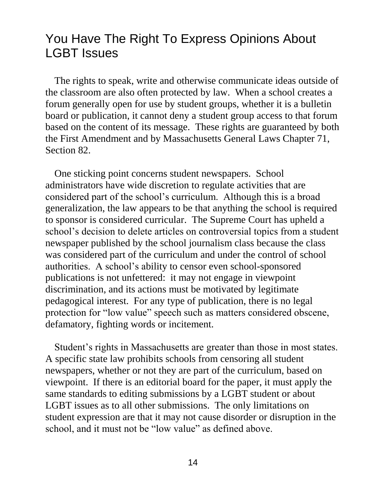## You Have The Right To Express Opinions About LGBT Issues

The rights to speak, write and otherwise communicate ideas outside of the classroom are also often protected by law. When a school creates a forum generally open for use by student groups, whether it is a bulletin board or publication, it cannot deny a student group access to that forum based on the content of its message. These rights are guaranteed by both the First Amendment and by Massachusetts General Laws Chapter 71, Section 82.

One sticking point concerns student newspapers. School administrators have wide discretion to regulate activities that are considered part of the school's curriculum. Although this is a broad generalization, the law appears to be that anything the school is required to sponsor is considered curricular. The Supreme Court has upheld a school's decision to delete articles on controversial topics from a student newspaper published by the school journalism class because the class was considered part of the curriculum and under the control of school authorities. A school's ability to censor even school-sponsored publications is not unfettered: it may not engage in viewpoint discrimination, and its actions must be motivated by legitimate pedagogical interest. For any type of publication, there is no legal protection for "low value" speech such as matters considered obscene, defamatory, fighting words or incitement.

Student's rights in Massachusetts are greater than those in most states. A specific state law prohibits schools from censoring all student newspapers, whether or not they are part of the curriculum, based on viewpoint. If there is an editorial board for the paper, it must apply the same standards to editing submissions by a LGBT student or about LGBT issues as to all other submissions. The only limitations on student expression are that it may not cause disorder or disruption in the school, and it must not be "low value" as defined above.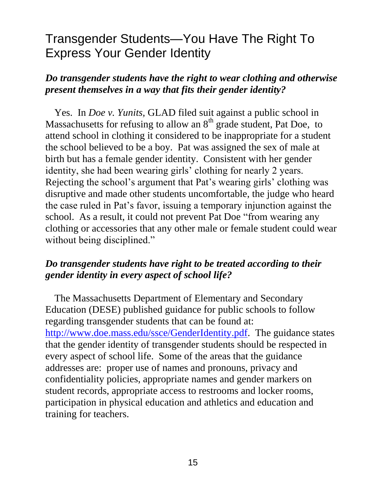## Transgender Students—You Have The Right To Express Your Gender Identity

## *Do transgender students have the right to wear clothing and otherwise present themselves in a way that fits their gender identity?*

Yes. In *Doe v. Yunits*, GLAD filed suit against a public school in Massachusetts for refusing to allow an  $8<sup>th</sup>$  grade student, Pat Doe, to attend school in clothing it considered to be inappropriate for a student the school believed to be a boy. Pat was assigned the sex of male at birth but has a female gender identity. Consistent with her gender identity, she had been wearing girls' clothing for nearly 2 years. Rejecting the school's argument that Pat's wearing girls' clothing was disruptive and made other students uncomfortable, the judge who heard the case ruled in Pat's favor, issuing a temporary injunction against the school. As a result, it could not prevent Pat Doe "from wearing any clothing or accessories that any other male or female student could wear without being disciplined."

#### *Do transgender students have right to be treated according to their gender identity in every aspect of school life?*

The Massachusetts Department of Elementary and Secondary Education (DESE) published guidance for public schools to follow regarding transgender students that can be found at: [http://www.doe.mass.edu/ssce/GenderIdentity.pdf.](http://www.doe.mass.edu/ssce/GenderIdentity.pdf) The guidance states that the gender identity of transgender students should be respected in every aspect of school life. Some of the areas that the guidance addresses are: proper use of names and pronouns, privacy and confidentiality policies, appropriate names and gender markers on student records, appropriate access to restrooms and locker rooms, participation in physical education and athletics and education and training for teachers.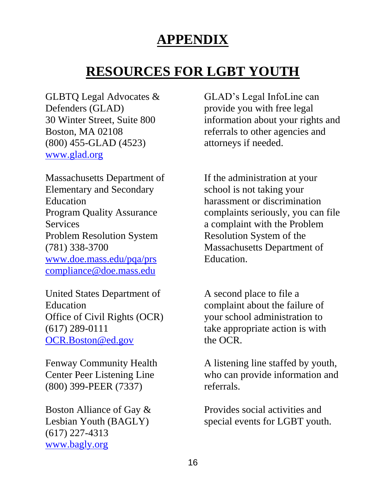## **APPENDIX**

## **RESOURCES FOR LGBT YOUTH**

GLBTQ Legal Advocates & Defenders (GLAD) 30 Winter Street, Suite 800 Boston, MA 02108 (800) 455-GLAD (4523) [www.glad.org](http://www.glad.org/)

Massachusetts Department of Elementary and Secondary Education Program Quality Assurance **Services** Problem Resolution System (781) 338-3700 [www.doe.mass.edu/pqa/prs](http://www.doe.mass.edu/pqa/prs) [compliance@doe.mass.edu](mailto:compliance@doe.mass.edu)

United States Department of Education Office of Civil Rights (OCR) (617) 289-0111 [OCR.Boston@ed.gov](mailto:OCR.Boston@ed.gov)

Fenway Community Health Center Peer Listening Line (800) 399-PEER (7337)

Boston Alliance of Gay & Lesbian Youth (BAGLY) (617) 227-4313 [www.bagly.org](http://www.bagly.org/)

GLAD's Legal InfoLine can provide you with free legal information about your rights and referrals to other agencies and attorneys if needed.

If the administration at your school is not taking your harassment or discrimination complaints seriously, you can file a complaint with the Problem Resolution System of the Massachusetts Department of Education.

A second place to file a complaint about the failure of your school administration to take appropriate action is with the OCR.

A listening line staffed by youth, who can provide information and referrals.

Provides social activities and special events for LGBT youth.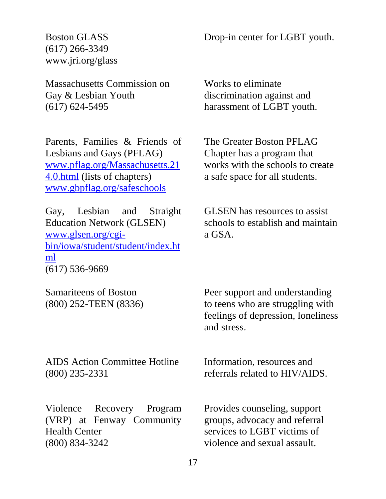Drop-in center for LGBT youth.

Boston GLASS (617) 266-3349 www.jri.org/glass

Massachusetts Commission on Gay & Lesbian Youth (617) 624-5495

Parents, Families & Friends of Lesbians and Gays (PFLAG) [www.pflag.org/Massachusetts.21](http://www.pflag.org/Massachusetts.214.0.html) [4.0.html](http://www.pflag.org/Massachusetts.214.0.html) (lists of chapters) [www.gbpflag.org/safeschools](http://www.gbpflag.org/safeschools)

Gay, Lesbian and Straight Education Network (GLSEN) [www.glsen.org/cgi](http://www.glsen.org/cgi-bin/iowa/student/student/index.html)[bin/iowa/student/student/index.ht](http://www.glsen.org/cgi-bin/iowa/student/student/index.html) [ml](http://www.glsen.org/cgi-bin/iowa/student/student/index.html) (617) 536-9669

Samariteens of Boston (800) 252-TEEN (8336)

Works to eliminate discrimination against and harassment of LGBT youth.

The Greater Boston PFLAG Chapter has a program that works with the schools to create a safe space for all students.

GLSEN has resources to assist schools to establish and maintain a GSA.

Peer support and understanding to teens who are struggling with feelings of depression, loneliness and stress.

AIDS Action Committee Hotline (800) 235-2331

Violence Recovery Program (VRP) at Fenway Community Health Center (800) 834-3242

Information, resources and referrals related to HIV/AIDS.

Provides counseling, support groups, advocacy and referral services to LGBT victims of violence and sexual assault.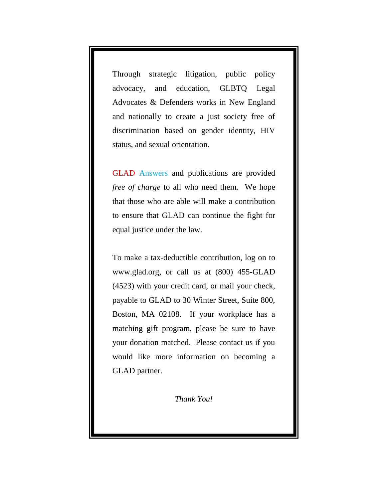Through strategic litigation, public policy advocacy, and education, GLBTQ Legal Advocates & Defenders works in New England and nationally to create a just society free of discrimination based on gender identity, HIV status, and sexual orientation.

GLAD Answers and publications are provided *free of charge* to all who need them. We hope that those who are able will make a contribution to ensure that GLAD can continue the fight for equal justice under the law.

To make a tax-deductible contribution, log on to [www.glad.org,](http://www.glad.org/) or call us at (800) 455-GLAD (4523) with your credit card, or mail your check, payable to GLAD to 30 Winter Street, Suite 800, Boston, MA 02108. If your workplace has a matching gift program, please be sure to have your donation matched. Please contact us if you would like more information on becoming a GLAD partner.

*Thank You!*